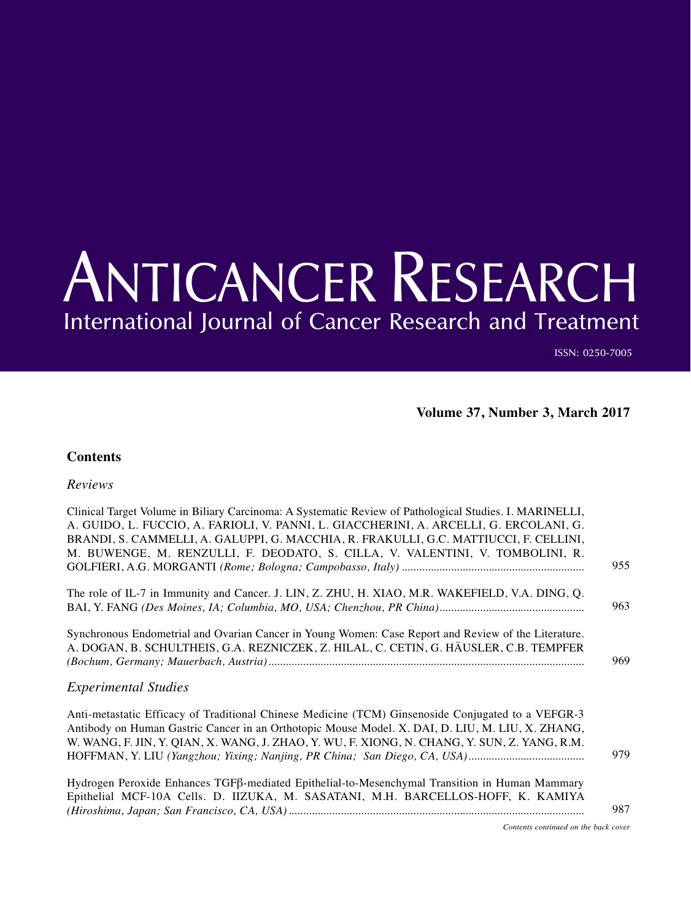## ANTICANCER RESEARCH International Journal of Cancer Research and Treatment

ISSN: 0250-7005

**Volume 37, Number 3, March 2017**

## **Contents**

## *Reviews*

| Clinical Target Volume in Biliary Carcinoma: A Systematic Review of Pathological Studies. I. MARINELLI, |     |
|---------------------------------------------------------------------------------------------------------|-----|
| A. GUIDO, L. FUCCIO, A. FARIOLI, V. PANNI, L. GIACCHERINI, A. ARCELLI, G. ERCOLANI, G.                  |     |
| BRANDI, S. CAMMELLI, A. GALUPPI, G. MACCHIA, R. FRAKULLI, G.C. MATTIUCCI, F. CELLINI,                   |     |
| M. BUWENGE, M. RENZULLI, F. DEODATO, S. CILLA, V. VALENTINI, V. TOMBOLINI, R.                           |     |
|                                                                                                         | 955 |
|                                                                                                         |     |
| The role of IL-7 in Immunity and Cancer. J. LIN, Z. ZHU, H. XIAO, M.R. WAKEFIELD, V.A. DING, Q.         |     |
|                                                                                                         | 963 |
| Synchronous Endometrial and Ovarian Cancer in Young Women: Case Report and Review of the Literature.    |     |
| A. DOGAN, B. SCHULTHEIS, G.A. REZNICZEK, Z. HILAL, C. CETIN, G. HÄUSLER, C.B. TEMPFER                   |     |
|                                                                                                         | 969 |
|                                                                                                         |     |
| <b>Experimental Studies</b>                                                                             |     |
|                                                                                                         |     |
| Anti-metastatic Efficacy of Traditional Chinese Medicine (TCM) Ginsenoside Conjugated to a VEFGR-3      |     |
| Antibody on Human Gastric Cancer in an Orthotopic Mouse Model. X. DAI, D. LIU, M. LIU, X. ZHANG,        |     |
| W. WANG, F. JIN, Y. QIAN, X. WANG, J. ZHAO, Y. WU, F. XIONG, N. CHANG, Y. SUN, Z. YANG, R.M.            |     |
|                                                                                                         | 979 |
|                                                                                                         |     |
| Hydrogen Peroxide Enhances TGFβ-mediated Epithelial-to-Mesenchymal Transition in Human Mammary          |     |
| Epithelial MCF-10A Cells. D. IIZUKA, M. SASATANI, M.H. BARCELLOS-HOFF, K. KAMIYA                        | 987 |
|                                                                                                         |     |

*Contents continued on the back cover*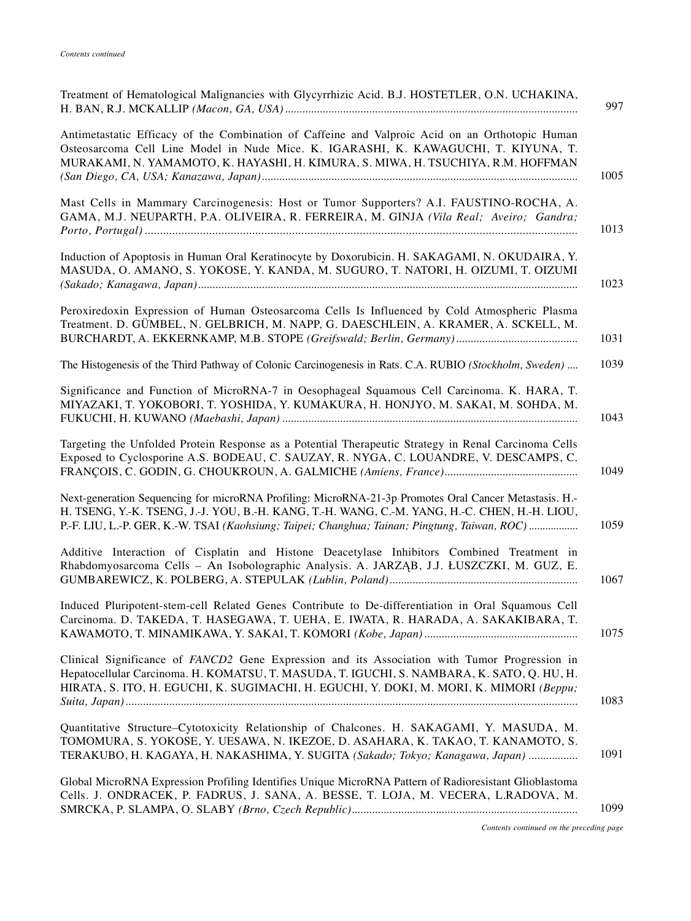| Treatment of Hematological Malignancies with Glycyrrhizic Acid. B.J. HOSTETLER, O.N. UCHAKINA,                                                                                                                                                                                                                   |
|------------------------------------------------------------------------------------------------------------------------------------------------------------------------------------------------------------------------------------------------------------------------------------------------------------------|
| Antimetastatic Efficacy of the Combination of Caffeine and Valproic Acid on an Orthotopic Human<br>Osteosarcoma Cell Line Model in Nude Mice. K. IGARASHI, K. KAWAGUCHI, T. KIYUNA, T.<br>MURAKAMI, N. YAMAMOTO, K. HAYASHI, H. KIMURA, S. MIWA, H. TSUCHIYA, R.M. HOFFMAN<br>1005                               |
| Mast Cells in Mammary Carcinogenesis: Host or Tumor Supporters? A.I. FAUSTINO-ROCHA, A.<br>GAMA, M.J. NEUPARTH, P.A. OLIVEIRA, R. FERREIRA, M. GINJA (Vila Real; Aveiro; Gandra;<br>1013                                                                                                                         |
| Induction of Apoptosis in Human Oral Keratinocyte by Doxorubicin. H. SAKAGAMI, N. OKUDAIRA, Y.<br>MASUDA, O. AMANO, S. YOKOSE, Y. KANDA, M. SUGURO, T. NATORI, H. OIZUMI, T. OIZUMI<br>1023                                                                                                                      |
| Peroxiredoxin Expression of Human Osteosarcoma Cells Is Influenced by Cold Atmospheric Plasma<br>Treatment. D. GÜMBEL, N. GELBRICH, M. NAPP, G. DAESCHLEIN, A. KRAMER, A. SCKELL, M.<br>1031                                                                                                                     |
| The Histogenesis of the Third Pathway of Colonic Carcinogenesis in Rats. C.A. RUBIO (Stockholm, Sweden)<br>1039                                                                                                                                                                                                  |
| Significance and Function of MicroRNA-7 in Oesophageal Squamous Cell Carcinoma. K. HARA, T.<br>MIYAZAKI, T. YOKOBORI, T. YOSHIDA, Y. KUMAKURA, H. HONJYO, M. SAKAI, M. SOHDA, M.<br>1043                                                                                                                         |
| Targeting the Unfolded Protein Response as a Potential Therapeutic Strategy in Renal Carcinoma Cells<br>Exposed to Cyclosporine A.S. BODEAU, C. SAUZAY, R. NYGA, C. LOUANDRE, V. DESCAMPS, C.<br>1049                                                                                                            |
| Next-generation Sequencing for microRNA Profiling: MicroRNA-21-3p Promotes Oral Cancer Metastasis. H.-<br>H. TSENG, Y.-K. TSENG, J.-J. YOU, B.-H. KANG, T.-H. WANG, C.-M. YANG, H.-C. CHEN, H.-H. LIOU,<br>P.-F. LIU, L.-P. GER, K.-W. TSAI (Kaohsiung; Taipei; Changhua; Tainan; Pingtung, Taiwan, ROC)<br>1059 |
| Additive Interaction of Cisplatin and Histone Deacetylase Inhibitors Combined Treatment in<br>Rhabdomyosarcoma Cells - An Isobolographic Analysis. A. JARZĄB, J.J. ŁUSZCZKI, M. GUZ, E.<br>1067                                                                                                                  |
| Induced Pluripotent-stem-cell Related Genes Contribute to De-differentiation in Oral Squamous Cell<br>Carcinoma. D. TAKEDA, T. HASEGAWA, T. UEHA, E. IWATA, R. HARADA, A. SAKAKIBARA, T.<br>1075                                                                                                                 |
| Clinical Significance of FANCD2 Gene Expression and its Association with Tumor Progression in<br>Hepatocellular Carcinoma. H. KOMATSU, T. MASUDA, T. IGUCHI, S. NAMBARA, K. SATO, Q. HU, H.<br>HIRATA, S. ITO, H. EGUCHI, K. SUGIMACHI, H. EGUCHI, Y. DOKI, M. MORI, K. MIMORI (Beppu;<br>1083                   |
| Quantitative Structure-Cytotoxicity Relationship of Chalcones. H. SAKAGAMI, Y. MASUDA, M.<br>TOMOMURA, S. YOKOSE, Y. UESAWA, N. IKEZOE, D. ASAHARA, K. TAKAO, T. KANAMOTO, S.<br>1091<br>TERAKUBO, H. KAGAYA, H. NAKASHIMA, Y. SUGITA (Sakado; Tokyo; Kanagawa, Japan)                                           |
| Global MicroRNA Expression Profiling Identifies Unique MicroRNA Pattern of Radioresistant Glioblastoma<br>Cells. J. ONDRACEK, P. FADRUS, J. SANA, A. BESSE, T. LOJA, M. VECERA, L.RADOVA, M.<br>1099                                                                                                             |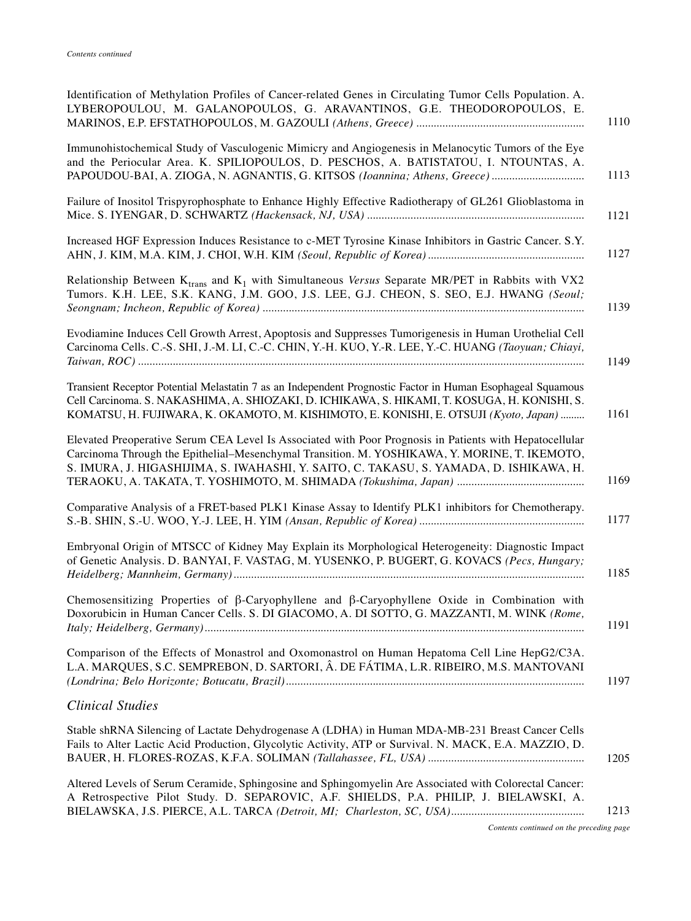| Identification of Methylation Profiles of Cancer-related Genes in Circulating Tumor Cells Population. A.<br>LYBEROPOULOU, M. GALANOPOULOS, G. ARAVANTINOS, G.E. THEODOROPOULOS, E.<br>1110                                                                                                                 |
|------------------------------------------------------------------------------------------------------------------------------------------------------------------------------------------------------------------------------------------------------------------------------------------------------------|
| Immunohistochemical Study of Vasculogenic Mimicry and Angiogenesis in Melanocytic Tumors of the Eye<br>and the Periocular Area. K. SPILIOPOULOS, D. PESCHOS, A. BATISTATOU, I. NTOUNTAS, A.<br>1113                                                                                                        |
| Failure of Inositol Trispyrophosphate to Enhance Highly Effective Radiotherapy of GL261 Glioblastoma in<br>1121                                                                                                                                                                                            |
| Increased HGF Expression Induces Resistance to c-MET Tyrosine Kinase Inhibitors in Gastric Cancer. S.Y.<br>1127                                                                                                                                                                                            |
| Relationship Between $K_{trans}$ and $K_1$ with Simultaneous Versus Separate MR/PET in Rabbits with VX2<br>Tumors. K.H. LEE, S.K. KANG, J.M. GOO, J.S. LEE, G.J. CHEON, S. SEO, E.J. HWANG (Seoul;<br>1139                                                                                                 |
| Evodiamine Induces Cell Growth Arrest, Apoptosis and Suppresses Tumorigenesis in Human Urothelial Cell<br>Carcinoma Cells. C.-S. SHI, J.-M. LI, C.-C. CHIN, Y.-H. KUO, Y.-R. LEE, Y.-C. HUANG (Taoyuan; Chiayi,<br>1149                                                                                    |
| Transient Receptor Potential Melastatin 7 as an Independent Prognostic Factor in Human Esophageal Squamous<br>Cell Carcinoma. S. NAKASHIMA, A. SHIOZAKI, D. ICHIKAWA, S. HIKAMI, T. KOSUGA, H. KONISHI, S.<br>1161<br>KOMATSU, H. FUJIWARA, K. OKAMOTO, M. KISHIMOTO, E. KONISHI, E. OTSUJI (Kyoto, Japan) |
| Elevated Preoperative Serum CEA Level Is Associated with Poor Prognosis in Patients with Hepatocellular<br>Carcinoma Through the Epithelial-Mesenchymal Transition. M. YOSHIKAWA, Y. MORINE, T. IKEMOTO,<br>S. IMURA, J. HIGASHIJIMA, S. IWAHASHI, Y. SAITO, C. TAKASU, S. YAMADA, D. ISHIKAWA, H.<br>1169 |
| Comparative Analysis of a FRET-based PLK1 Kinase Assay to Identify PLK1 inhibitors for Chemotherapy.<br>1177                                                                                                                                                                                               |
| Embryonal Origin of MTSCC of Kidney May Explain its Morphological Heterogeneity: Diagnostic Impact<br>of Genetic Analysis. D. BANYAI, F. VASTAG, M. YUSENKO, P. BUGERT, G. KOVACS (Pecs, Hungary;<br>1185                                                                                                  |
| Chemosensitizing Properties of $\beta$ -Caryophyllene and $\beta$ -Caryophyllene Oxide in Combination with<br>Doxorubicin in Human Cancer Cells. S. DI GIACOMO, A. DI SOTTO, G. MAZZANTI, M. WINK (Rome,<br>1191                                                                                           |
| Comparison of the Effects of Monastrol and Oxomonastrol on Human Hepatoma Cell Line HepG2/C3A.<br>L.A. MARQUES, S.C. SEMPREBON, D. SARTORI, Â. DE FÁTIMA, L.R. RIBEIRO, M.S. MANTOVANI<br>1197                                                                                                             |
| <b>Clinical Studies</b>                                                                                                                                                                                                                                                                                    |
| Stable shRNA Silencing of Lactate Dehydrogenase A (LDHA) in Human MDA-MB-231 Breast Cancer Cells<br>Fails to Alter Lactic Acid Production, Glycolytic Activity, ATP or Survival. N. MACK, E.A. MAZZIO, D.<br>1205                                                                                          |
| Altered Levels of Serum Ceramide, Sphingosine and Sphingomyelin Are Associated with Colorectal Cancer:<br>A Retrospective Pilot Study. D. SEPAROVIC, A.F. SHIELDS, P.A. PHILIP, J. BIELAWSKI, A.<br>1213                                                                                                   |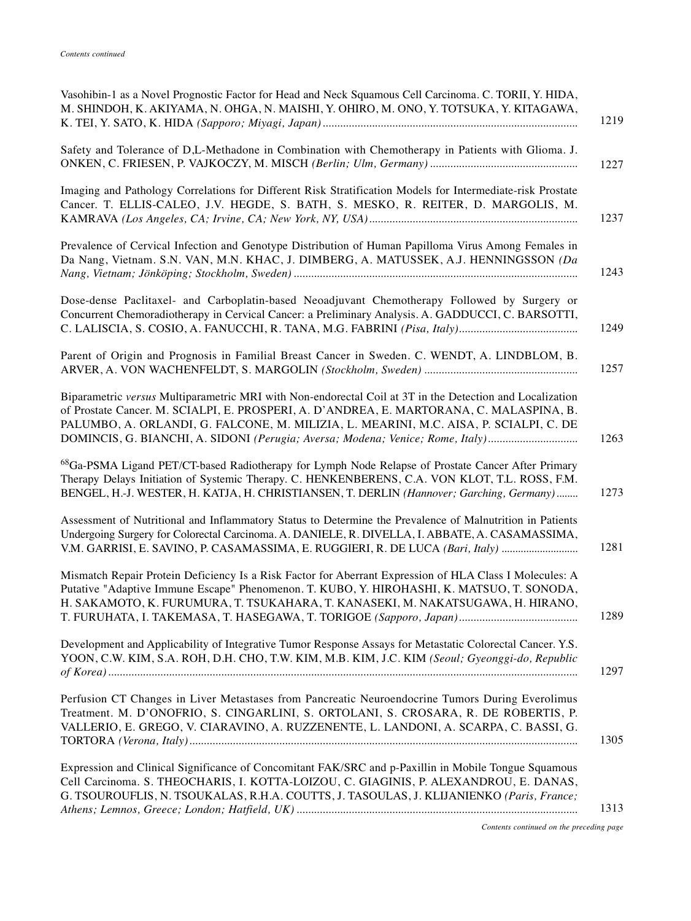| Vasohibin-1 as a Novel Prognostic Factor for Head and Neck Squamous Cell Carcinoma. C. TORII, Y. HIDA,<br>M. SHINDOH, K. AKIYAMA, N. OHGA, N. MAISHI, Y. OHIRO, M. ONO, Y. TOTSUKA, Y. KITAGAWA,<br>1219                                                                                                                                                                                |  |
|-----------------------------------------------------------------------------------------------------------------------------------------------------------------------------------------------------------------------------------------------------------------------------------------------------------------------------------------------------------------------------------------|--|
| Safety and Tolerance of D,L-Methadone in Combination with Chemotherapy in Patients with Glioma. J.<br>1227                                                                                                                                                                                                                                                                              |  |
| Imaging and Pathology Correlations for Different Risk Stratification Models for Intermediate-risk Prostate<br>Cancer. T. ELLIS-CALEO, J.V. HEGDE, S. BATH, S. MESKO, R. REITER, D. MARGOLIS, M.<br>1237                                                                                                                                                                                 |  |
| Prevalence of Cervical Infection and Genotype Distribution of Human Papilloma Virus Among Females in<br>Da Nang, Vietnam. S.N. VAN, M.N. KHAC, J. DIMBERG, A. MATUSSEK, A.J. HENNINGSSON (Da<br>1243                                                                                                                                                                                    |  |
| Dose-dense Paclitaxel- and Carboplatin-based Neoadjuvant Chemotherapy Followed by Surgery or<br>Concurrent Chemoradiotherapy in Cervical Cancer: a Preliminary Analysis. A. GADDUCCI, C. BARSOTTI,<br>1249                                                                                                                                                                              |  |
| Parent of Origin and Prognosis in Familial Breast Cancer in Sweden. C. WENDT, A. LINDBLOM, B.<br>1257                                                                                                                                                                                                                                                                                   |  |
| Biparametric versus Multiparametric MRI with Non-endorectal Coil at 3T in the Detection and Localization<br>of Prostate Cancer. M. SCIALPI, E. PROSPERI, A. D'ANDREA, E. MARTORANA, C. MALASPINA, B.<br>PALUMBO, A. ORLANDI, G. FALCONE, M. MILIZIA, L. MEARINI, M.C. AISA, P. SCIALPI, C. DE<br>DOMINCIS, G. BIANCHI, A. SIDONI (Perugia; Aversa; Modena; Venice; Rome, Italy)<br>1263 |  |
| <sup>68</sup> Ga-PSMA Ligand PET/CT-based Radiotherapy for Lymph Node Relapse of Prostate Cancer After Primary<br>Therapy Delays Initiation of Systemic Therapy. C. HENKENBERENS, C.A. VON KLOT, T.L. ROSS, F.M.<br>BENGEL, H.-J. WESTER, H. KATJA, H. CHRISTIANSEN, T. DERLIN (Hannover; Garching, Germany)<br>1273                                                                    |  |
| Assessment of Nutritional and Inflammatory Status to Determine the Prevalence of Malnutrition in Patients<br>Undergoing Surgery for Colorectal Carcinoma. A. DANIELE, R. DIVELLA, I. ABBATE, A. CASAMASSIMA,<br>1281<br>V.M. GARRISI, E. SAVINO, P. CASAMASSIMA, E. RUGGIERI, R. DE LUCA (Bari, Italy)                                                                                  |  |
| Mismatch Repair Protein Deficiency Is a Risk Factor for Aberrant Expression of HLA Class I Molecules: A<br>Putative "Adaptive Immune Escape" Phenomenon. T. KUBO, Y. HIROHASHI, K. MATSUO, T. SONODA,<br>H. SAKAMOTO, K. FURUMURA, T. TSUKAHARA, T. KANASEKI, M. NAKATSUGAWA, H. HIRANO,<br>1289                                                                                        |  |
| Development and Applicability of Integrative Tumor Response Assays for Metastatic Colorectal Cancer. Y.S.<br>YOON, C.W. KIM, S.A. ROH, D.H. CHO, T.W. KIM, M.B. KIM, J.C. KIM (Seoul; Gyeonggi-do, Republic<br>1297                                                                                                                                                                     |  |
| Perfusion CT Changes in Liver Metastases from Pancreatic Neuroendocrine Tumors During Everolimus<br>Treatment. M. D'ONOFRIO, S. CINGARLINI, S. ORTOLANI, S. CROSARA, R. DE ROBERTIS, P.<br>VALLERIO, E. GREGO, V. CIARAVINO, A. RUZZENENTE, L. LANDONI, A. SCARPA, C. BASSI, G.<br>1305                                                                                                 |  |
| Expression and Clinical Significance of Concomitant FAK/SRC and p-Paxillin in Mobile Tongue Squamous<br>Cell Carcinoma. S. THEOCHARIS, I. KOTTA-LOIZOU, C. GIAGINIS, P. ALEXANDROU, E. DANAS,<br>G. TSOUROUFLIS, N. TSOUKALAS, R.H.A. COUTTS, J. TASOULAS, J. KLIJANIENKO (Paris, France;<br>1313                                                                                       |  |
|                                                                                                                                                                                                                                                                                                                                                                                         |  |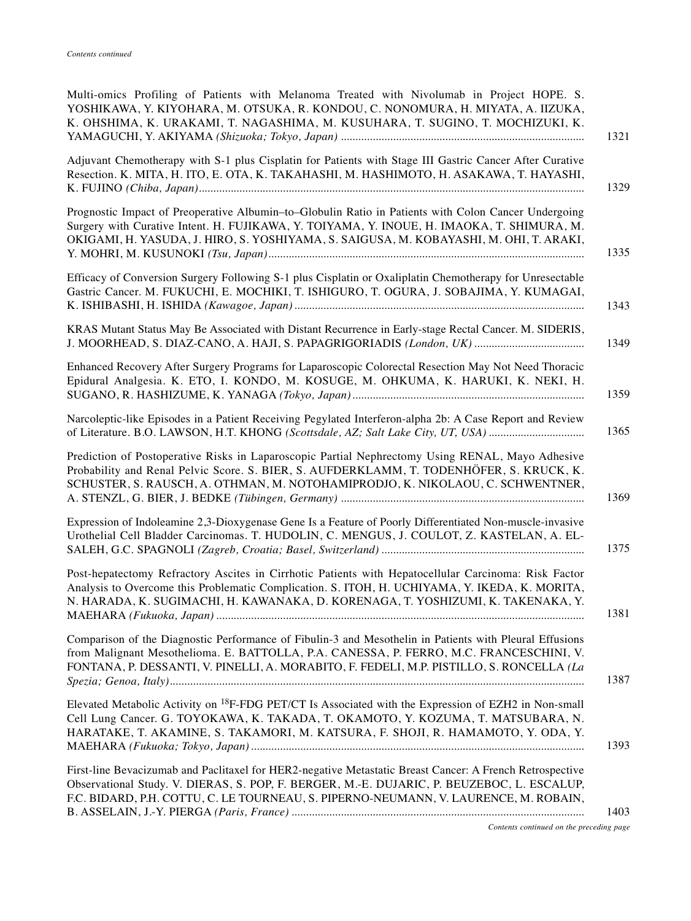| Multi-omics Profiling of Patients with Melanoma Treated with Nivolumab in Project HOPE. S.<br>YOSHIKAWA, Y. KIYOHARA, M. OTSUKA, R. KONDOU, C. NONOMURA, H. MIYATA, A. IIZUKA,<br>K. OHSHIMA, K. URAKAMI, T. NAGASHIMA, M. KUSUHARA, T. SUGINO, T. MOCHIZUKI, K.<br>1321                               |
|--------------------------------------------------------------------------------------------------------------------------------------------------------------------------------------------------------------------------------------------------------------------------------------------------------|
| Adjuvant Chemotherapy with S-1 plus Cisplatin for Patients with Stage III Gastric Cancer After Curative<br>Resection. K. MITA, H. ITO, E. OTA, K. TAKAHASHI, M. HASHIMOTO, H. ASAKAWA, T. HAYASHI,<br>1329                                                                                             |
| Prognostic Impact of Preoperative Albumin-to-Globulin Ratio in Patients with Colon Cancer Undergoing<br>Surgery with Curative Intent. H. FUJIKAWA, Y. TOIYAMA, Y. INOUE, H. IMAOKA, T. SHIMURA, M.<br>OKIGAMI, H. YASUDA, J. HIRO, S. YOSHIYAMA, S. SAIGUSA, M. KOBAYASHI, M. OHI, T. ARAKI,<br>1335   |
| Efficacy of Conversion Surgery Following S-1 plus Cisplatin or Oxaliplatin Chemotherapy for Unresectable<br>Gastric Cancer. M. FUKUCHI, E. MOCHIKI, T. ISHIGURO, T. OGURA, J. SOBAJIMA, Y. KUMAGAI,<br>1343                                                                                            |
| KRAS Mutant Status May Be Associated with Distant Recurrence in Early-stage Rectal Cancer. M. SIDERIS,<br>1349                                                                                                                                                                                         |
| Enhanced Recovery After Surgery Programs for Laparoscopic Colorectal Resection May Not Need Thoracic<br>Epidural Analgesia. K. ETO, I. KONDO, M. KOSUGE, M. OHKUMA, K. HARUKI, K. NEKI, H.<br>1359                                                                                                     |
| Narcoleptic-like Episodes in a Patient Receiving Pegylated Interferon-alpha 2b: A Case Report and Review<br>1365<br>of Literature. B.O. LAWSON, H.T. KHONG (Scottsdale, AZ; Salt Lake City, UT, USA)                                                                                                   |
| Prediction of Postoperative Risks in Laparoscopic Partial Nephrectomy Using RENAL, Mayo Adhesive<br>Probability and Renal Pelvic Score. S. BIER, S. AUFDERKLAMM, T. TODENHÖFER, S. KRUCK, K.<br>SCHUSTER, S. RAUSCH, A. OTHMAN, M. NOTOHAMIPRODJO, K. NIKOLAOU, C. SCHWENTNER,<br>1369                 |
| Expression of Indoleamine 2,3-Dioxygenase Gene Is a Feature of Poorly Differentiated Non-muscle-invasive<br>Urothelial Cell Bladder Carcinomas. T. HUDOLIN, C. MENGUS, J. COULOT, Z. KASTELAN, A. EL-<br>1375                                                                                          |
| Post-hepatectomy Refractory Ascites in Cirrhotic Patients with Hepatocellular Carcinoma: Risk Factor<br>Analysis to Overcome this Problematic Complication. S. ITOH, H. UCHIYAMA, Y. IKEDA, K. MORITA,<br>N. HARADA, K. SUGIMACHI, H. KAWANAKA, D. KORENAGA, T. YOSHIZUMI, K. TAKENAKA, Y.<br>1381     |
| Comparison of the Diagnostic Performance of Fibulin-3 and Mesothelin in Patients with Pleural Effusions<br>from Malignant Mesothelioma. E. BATTOLLA, P.A. CANESSA, P. FERRO, M.C. FRANCESCHINI, V.<br>FONTANA, P. DESSANTI, V. PINELLI, A. MORABITO, F. FEDELI, M.P. PISTILLO, S. RONCELLA (La<br>1387 |
| Elevated Metabolic Activity on <sup>18</sup> F-FDG PET/CT Is Associated with the Expression of EZH2 in Non-small<br>Cell Lung Cancer. G. TOYOKAWA, K. TAKADA, T. OKAMOTO, Y. KOZUMA, T. MATSUBARA, N.<br>HARATAKE, T. AKAMINE, S. TAKAMORI, M. KATSURA, F. SHOJI, R. HAMAMOTO, Y. ODA, Y.<br>1393      |
| First-line Bevacizumab and Paclitaxel for HER2-negative Metastatic Breast Cancer: A French Retrospective<br>Observational Study. V. DIERAS, S. POP, F. BERGER, M.-E. DUJARIC, P. BEUZEBOC, L. ESCALUP,<br>F.C. BIDARD, P.H. COTTU, C. LE TOURNEAU, S. PIPERNO-NEUMANN, V. LAURENCE, M. ROBAIN,<br>1403 |
| Contents continued on the preceding page                                                                                                                                                                                                                                                               |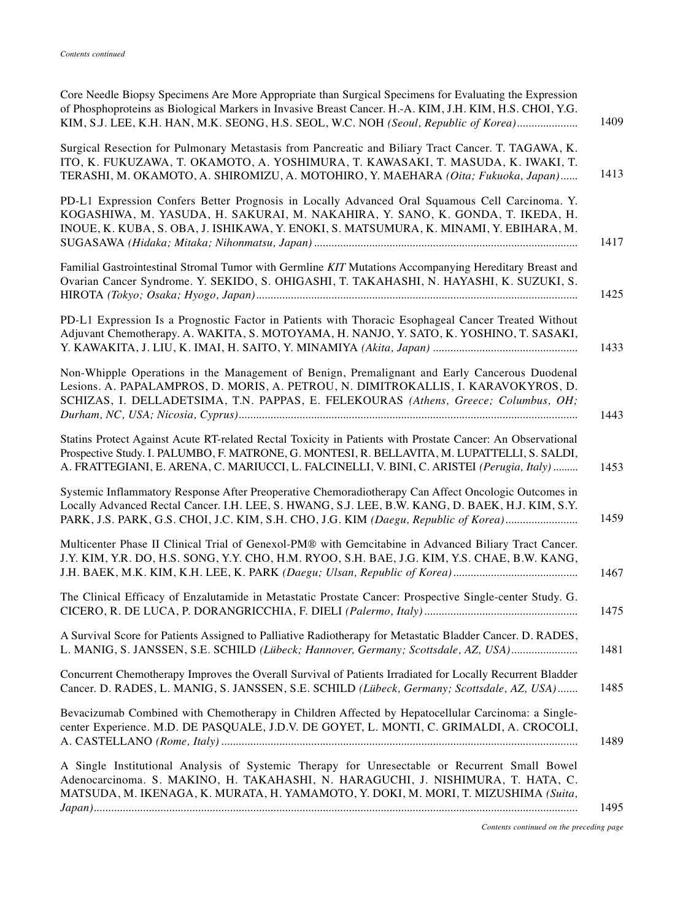| Core Needle Biopsy Specimens Are More Appropriate than Surgical Specimens for Evaluating the Expression<br>of Phosphoproteins as Biological Markers in Invasive Breast Cancer. H.-A. KIM, J.H. KIM, H.S. CHOI, Y.G.<br>1409<br>KIM, S.J. LEE, K.H. HAN, M.K. SEONG, H.S. SEOL, W.C. NOH (Seoul, Republic of Korea) |
|--------------------------------------------------------------------------------------------------------------------------------------------------------------------------------------------------------------------------------------------------------------------------------------------------------------------|
| Surgical Resection for Pulmonary Metastasis from Pancreatic and Biliary Tract Cancer. T. TAGAWA, K.<br>ITO, K. FUKUZAWA, T. OKAMOTO, A. YOSHIMURA, T. KAWASAKI, T. MASUDA, K. IWAKI, T.<br>1413<br>TERASHI, M. OKAMOTO, A. SHIROMIZU, A. MOTOHIRO, Y. MAEHARA (Oita; Fukuoka, Japan)                               |
| PD-L1 Expression Confers Better Prognosis in Locally Advanced Oral Squamous Cell Carcinoma. Y.<br>KOGASHIWA, M. YASUDA, H. SAKURAI, M. NAKAHIRA, Y. SANO, K. GONDA, T. IKEDA, H.<br>INOUE, K. KUBA, S. OBA, J. ISHIKAWA, Y. ENOKI, S. MATSUMURA, K. MINAMI, Y. EBIHARA, M.<br>1417                                 |
| Familial Gastrointestinal Stromal Tumor with Germline KIT Mutations Accompanying Hereditary Breast and<br>Ovarian Cancer Syndrome. Y. SEKIDO, S. OHIGASHI, T. TAKAHASHI, N. HAYASHI, K. SUZUKI, S.<br>1425                                                                                                         |
| PD-L1 Expression Is a Prognostic Factor in Patients with Thoracic Esophageal Cancer Treated Without<br>Adjuvant Chemotherapy. A. WAKITA, S. MOTOYAMA, H. NANJO, Y. SATO, K. YOSHINO, T. SASAKI,<br>1433                                                                                                            |
| Non-Whipple Operations in the Management of Benign, Premalignant and Early Cancerous Duodenal<br>Lesions. A. PAPALAMPROS, D. MORIS, A. PETROU, N. DIMITROKALLIS, I. KARAVOKYROS, D.<br>SCHIZAS, I. DELLADETSIMA, T.N. PAPPAS, E. FELEKOURAS (Athens, Greece; Columbus, OH;<br>1443                                 |
| Statins Protect Against Acute RT-related Rectal Toxicity in Patients with Prostate Cancer: An Observational<br>Prospective Study. I. PALUMBO, F. MATRONE, G. MONTESI, R. BELLAVITA, M. LUPATTELLI, S. SALDI,<br>A. FRATTEGIANI, E. ARENA, C. MARIUCCI, L. FALCINELLI, V. BINI, C. ARISTEI (Perugia, Italy)<br>1453 |
| Systemic Inflammatory Response After Preoperative Chemoradiotherapy Can Affect Oncologic Outcomes in<br>Locally Advanced Rectal Cancer. I.H. LEE, S. HWANG, S.J. LEE, B.W. KANG, D. BAEK, H.J. KIM, S.Y.<br>1459<br>PARK, J.S. PARK, G.S. CHOI, J.C. KIM, S.H. CHO, J.G. KIM (Daegu, Republic of Korea)            |
| Multicenter Phase II Clinical Trial of Genexol-PM® with Gemcitabine in Advanced Biliary Tract Cancer.<br>J.Y. KIM, Y.R. DO, H.S. SONG, Y.Y. CHO, H.M. RYOO, S.H. BAE, J.G. KIM, Y.S. CHAE, B.W. KANG,<br>1467                                                                                                      |
| The Clinical Efficacy of Enzalutamide in Metastatic Prostate Cancer: Prospective Single-center Study. G.<br>1475                                                                                                                                                                                                   |
| A Survival Score for Patients Assigned to Palliative Radiotherapy for Metastatic Bladder Cancer. D. RADES,<br>L. MANIG, S. JANSSEN, S.E. SCHILD (Lübeck; Hannover, Germany; Scottsdale, AZ, USA)<br>1481                                                                                                           |
| Concurrent Chemotherapy Improves the Overall Survival of Patients Irradiated for Locally Recurrent Bladder<br>Cancer. D. RADES, L. MANIG, S. JANSSEN, S.E. SCHILD (Lübeck, Germany; Scottsdale, AZ, USA)<br>1485                                                                                                   |
| Bevacizumab Combined with Chemotherapy in Children Affected by Hepatocellular Carcinoma: a Single-<br>center Experience. M.D. DE PASQUALE, J.D.V. DE GOYET, L. MONTI, C. GRIMALDI, A. CROCOLI,<br>1489                                                                                                             |
| A Single Institutional Analysis of Systemic Therapy for Unresectable or Recurrent Small Bowel<br>Adenocarcinoma. S. MAKINO, H. TAKAHASHI, N. HARAGUCHI, J. NISHIMURA, T. HATA, C.<br>MATSUDA, M. IKENAGA, K. MURATA, H. YAMAMOTO, Y. DOKI, M. MORI, T. MIZUSHIMA (Suita,<br>1495                                   |